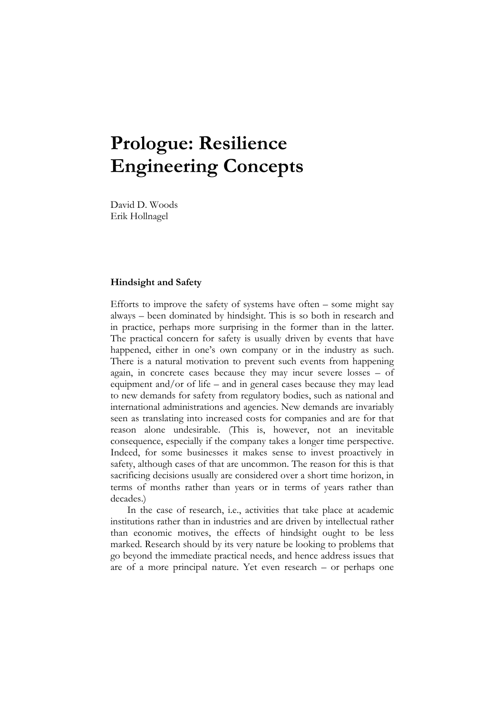## **Prologue: Resilience Engineering Concepts**

David D. Woods Erik Hollnagel

## **Hindsight and Safety**

Efforts to improve the safety of systems have often – some might say always – been dominated by hindsight. This is so both in research and in practice, perhaps more surprising in the former than in the latter. The practical concern for safety is usually driven by events that have happened, either in one's own company or in the industry as such. There is a natural motivation to prevent such events from happening again, in concrete cases because they may incur severe losses – of equipment and/or of life – and in general cases because they may lead to new demands for safety from regulatory bodies, such as national and international administrations and agencies. New demands are invariably seen as translating into increased costs for companies and are for that reason alone undesirable. (This is, however, not an inevitable consequence, especially if the company takes a longer time perspective. Indeed, for some businesses it makes sense to invest proactively in safety, although cases of that are uncommon. The reason for this is that sacrificing decisions usually are considered over a short time horizon, in terms of months rather than years or in terms of years rather than decades.)

In the case of research, i.e., activities that take place at academic institutions rather than in industries and are driven by intellectual rather than economic motives, the effects of hindsight ought to be less marked. Research should by its very nature be looking to problems that go beyond the immediate practical needs, and hence address issues that are of a more principal nature. Yet even research – or perhaps one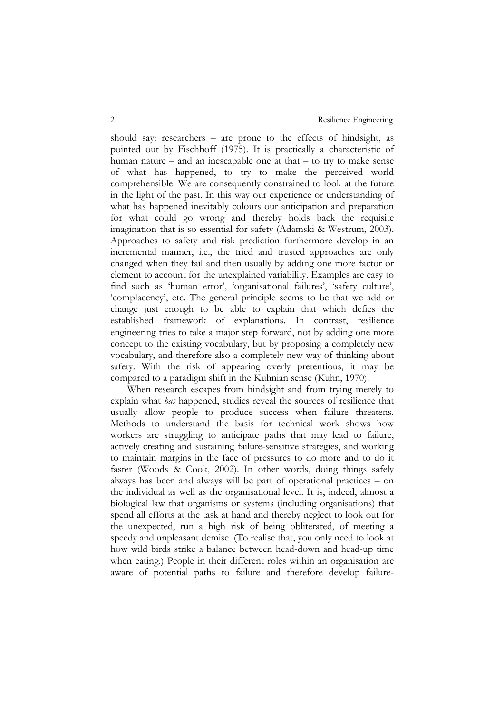should say: researchers – are prone to the effects of hindsight, as pointed out by Fischhoff (1975). It is practically a characteristic of human nature – and an inescapable one at that – to try to make sense of what has happened, to try to make the perceived world comprehensible. We are consequently constrained to look at the future in the light of the past. In this way our experience or understanding of what has happened inevitably colours our anticipation and preparation for what could go wrong and thereby holds back the requisite imagination that is so essential for safety (Adamski & Westrum, 2003). Approaches to safety and risk prediction furthermore develop in an incremental manner, i.e., the tried and trusted approaches are only changed when they fail and then usually by adding one more factor or element to account for the unexplained variability. Examples are easy to find such as 'human error', 'organisational failures', 'safety culture', 'complacency', etc. The general principle seems to be that we add or change just enough to be able to explain that which defies the established framework of explanations. In contrast, resilience engineering tries to take a major step forward, not by adding one more concept to the existing vocabulary, but by proposing a completely new vocabulary, and therefore also a completely new way of thinking about safety. With the risk of appearing overly pretentious, it may be compared to a paradigm shift in the Kuhnian sense (Kuhn, 1970).

When research escapes from hindsight and from trying merely to explain what *has* happened, studies reveal the sources of resilience that usually allow people to produce success when failure threatens. Methods to understand the basis for technical work shows how workers are struggling to anticipate paths that may lead to failure, actively creating and sustaining failure-sensitive strategies, and working to maintain margins in the face of pressures to do more and to do it faster (Woods & Cook, 2002). In other words, doing things safely always has been and always will be part of operational practices – on the individual as well as the organisational level. It is, indeed, almost a biological law that organisms or systems (including organisations) that spend all efforts at the task at hand and thereby neglect to look out for the unexpected, run a high risk of being obliterated, of meeting a speedy and unpleasant demise. (To realise that, you only need to look at how wild birds strike a balance between head-down and head-up time when eating.) People in their different roles within an organisation are aware of potential paths to failure and therefore develop failure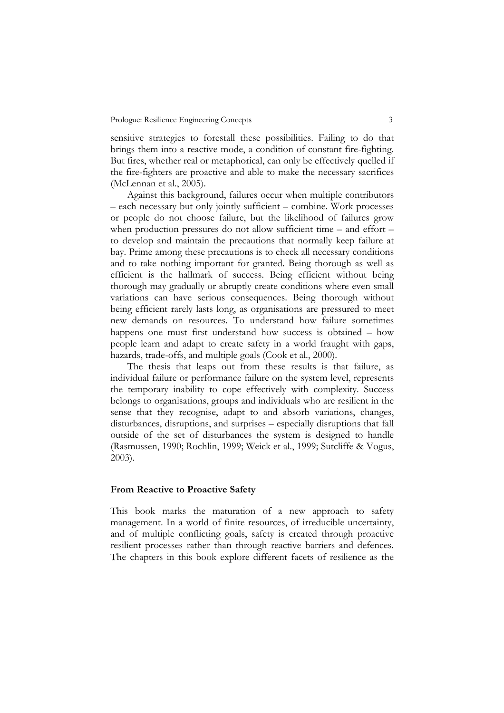sensitive strategies to forestall these possibilities. Failing to do that brings them into a reactive mode, a condition of constant fire-fighting. But fires, whether real or metaphorical, can only be effectively quelled if the fire-fighters are proactive and able to make the necessary sacrifices (McLennan et al., 2005).

Against this background, failures occur when multiple contributors – each necessary but only jointly sufficient – combine. Work processes or people do not choose failure, but the likelihood of failures grow when production pressures do not allow sufficient time – and effort – to develop and maintain the precautions that normally keep failure at bay. Prime among these precautions is to check all necessary conditions and to take nothing important for granted. Being thorough as well as efficient is the hallmark of success. Being efficient without being thorough may gradually or abruptly create conditions where even small variations can have serious consequences. Being thorough without being efficient rarely lasts long, as organisations are pressured to meet new demands on resources. To understand how failure sometimes happens one must first understand how success is obtained – how people learn and adapt to create safety in a world fraught with gaps, hazards, trade-offs, and multiple goals (Cook et al., 2000).

The thesis that leaps out from these results is that failure, as individual failure or performance failure on the system level, represents the temporary inability to cope effectively with complexity. Success belongs to organisations, groups and individuals who are resilient in the sense that they recognise, adapt to and absorb variations, changes, disturbances, disruptions, and surprises – especially disruptions that fall outside of the set of disturbances the system is designed to handle (Rasmussen, 1990; Rochlin, 1999; Weick et al., 1999; Sutcliffe & Vogus, 2003).

## **From Reactive to Proactive Safety**

This book marks the maturation of a new approach to safety management. In a world of finite resources, of irreducible uncertainty, and of multiple conflicting goals, safety is created through proactive resilient processes rather than through reactive barriers and defences. The chapters in this book explore different facets of resilience as the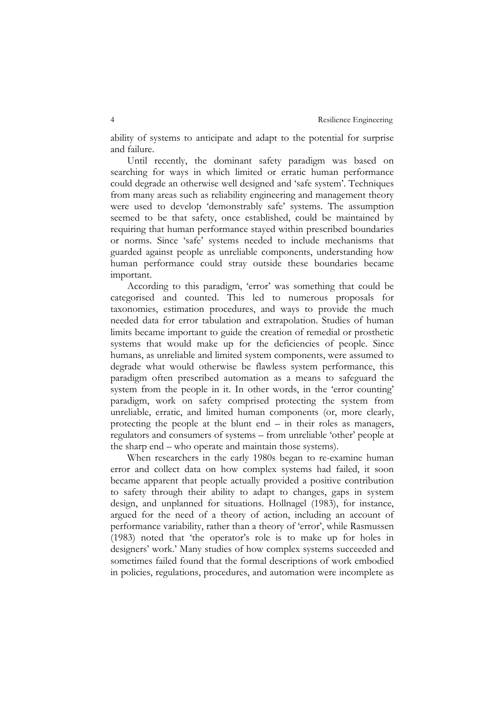ability of systems to anticipate and adapt to the potential for surprise and failure.

Until recently, the dominant safety paradigm was based on searching for ways in which limited or erratic human performance could degrade an otherwise well designed and 'safe system'. Techniques from many areas such as reliability engineering and management theory were used to develop 'demonstrably safe' systems. The assumption seemed to be that safety, once established, could be maintained by requiring that human performance stayed within prescribed boundaries or norms. Since 'safe' systems needed to include mechanisms that guarded against people as unreliable components, understanding how human performance could stray outside these boundaries became important.

According to this paradigm, 'error' was something that could be categorised and counted. This led to numerous proposals for taxonomies, estimation procedures, and ways to provide the much needed data for error tabulation and extrapolation. Studies of human limits became important to guide the creation of remedial or prosthetic systems that would make up for the deficiencies of people. Since humans, as unreliable and limited system components, were assumed to degrade what would otherwise be flawless system performance, this paradigm often prescribed automation as a means to safeguard the system from the people in it. In other words, in the 'error counting' paradigm, work on safety comprised protecting the system from unreliable, erratic, and limited human components (or, more clearly, protecting the people at the blunt end – in their roles as managers, regulators and consumers of systems – from unreliable 'other' people at the sharp end – who operate and maintain those systems).

When researchers in the early 1980s began to re-examine human error and collect data on how complex systems had failed, it soon became apparent that people actually provided a positive contribution to safety through their ability to adapt to changes, gaps in system design, and unplanned for situations. Hollnagel (1983), for instance, argued for the need of a theory of action, including an account of performance variability, rather than a theory of 'error', while Rasmussen (1983) noted that 'the operator's role is to make up for holes in designers' work.' Many studies of how complex systems succeeded and sometimes failed found that the formal descriptions of work embodied in policies, regulations, procedures, and automation were incomplete as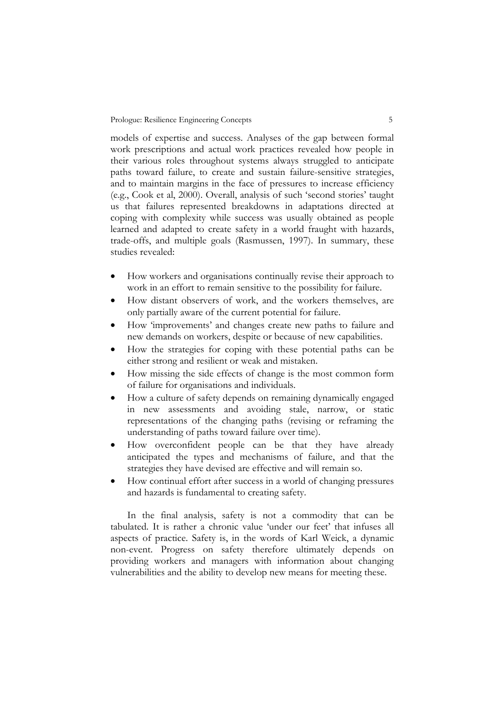models of expertise and success. Analyses of the gap between formal work prescriptions and actual work practices revealed how people in their various roles throughout systems always struggled to anticipate paths toward failure, to create and sustain failure-sensitive strategies, and to maintain margins in the face of pressures to increase efficiency (e.g., Cook et al, 2000). Overall, analysis of such 'second stories' taught us that failures represented breakdowns in adaptations directed at coping with complexity while success was usually obtained as people learned and adapted to create safety in a world fraught with hazards, trade-offs, and multiple goals (Rasmussen, 1997). In summary, these studies revealed:

- How workers and organisations continually revise their approach to work in an effort to remain sensitive to the possibility for failure.
- How distant observers of work, and the workers themselves, are only partially aware of the current potential for failure.
- How 'improvements' and changes create new paths to failure and new demands on workers, despite or because of new capabilities.
- How the strategies for coping with these potential paths can be either strong and resilient or weak and mistaken.
- How missing the side effects of change is the most common form of failure for organisations and individuals.
- How a culture of safety depends on remaining dynamically engaged in new assessments and avoiding stale, narrow, or static representations of the changing paths (revising or reframing the understanding of paths toward failure over time).
- How overconfident people can be that they have already anticipated the types and mechanisms of failure, and that the strategies they have devised are effective and will remain so.
- How continual effort after success in a world of changing pressures and hazards is fundamental to creating safety.

In the final analysis, safety is not a commodity that can be tabulated. It is rather a chronic value 'under our feet' that infuses all aspects of practice. Safety is, in the words of Karl Weick, a dynamic non-event. Progress on safety therefore ultimately depends on providing workers and managers with information about changing vulnerabilities and the ability to develop new means for meeting these.